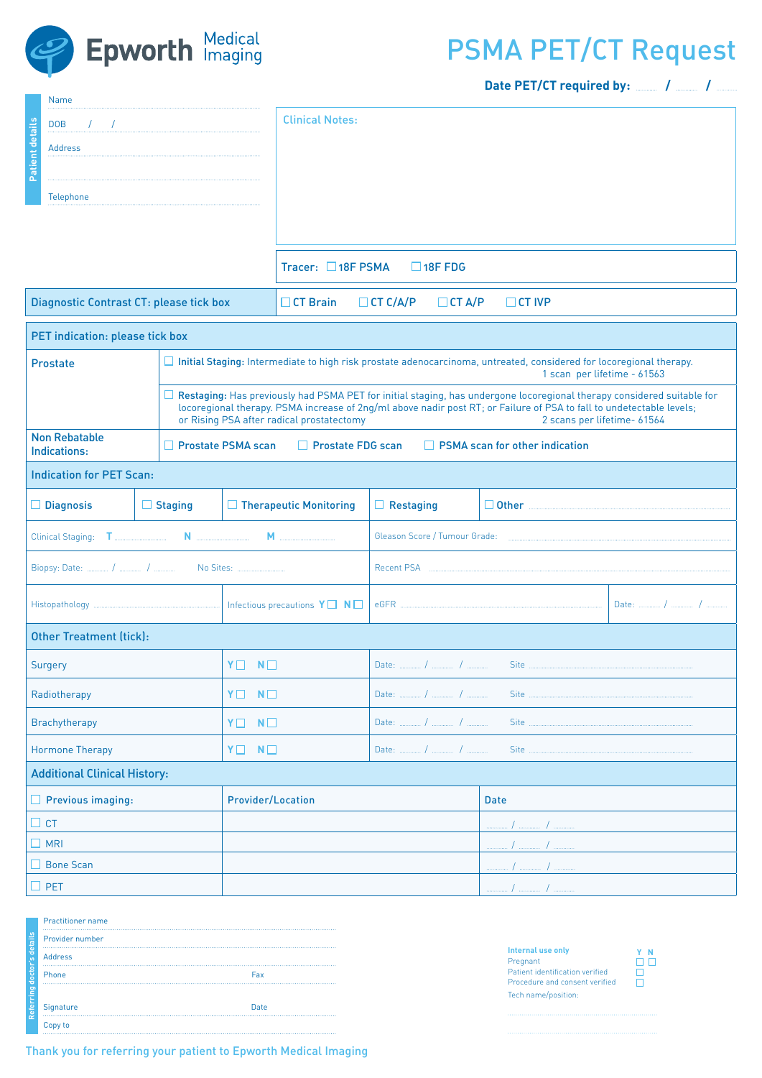

## PSMA PET/CT Request

**Date PET/CT required by: / /** 

|                                                                   | Name                                                                                                                     |                                                                                                                                                                                                                                                                                                                              |                                                                                                                                                      |                                                                      |                  |                                                                                                                       |  |
|-------------------------------------------------------------------|--------------------------------------------------------------------------------------------------------------------------|------------------------------------------------------------------------------------------------------------------------------------------------------------------------------------------------------------------------------------------------------------------------------------------------------------------------------|------------------------------------------------------------------------------------------------------------------------------------------------------|----------------------------------------------------------------------|------------------|-----------------------------------------------------------------------------------------------------------------------|--|
| Patient details                                                   | $\mathcal{F}=\mathcal{F}$ . The communication of the constraint of the constraint $\mathcal{F}$<br><b>DOB</b><br>Address |                                                                                                                                                                                                                                                                                                                              |                                                                                                                                                      | <b>Clinical Notes:</b>                                               |                  |                                                                                                                       |  |
|                                                                   |                                                                                                                          |                                                                                                                                                                                                                                                                                                                              |                                                                                                                                                      |                                                                      |                  |                                                                                                                       |  |
| Telephone                                                         |                                                                                                                          |                                                                                                                                                                                                                                                                                                                              |                                                                                                                                                      |                                                                      |                  |                                                                                                                       |  |
|                                                                   |                                                                                                                          |                                                                                                                                                                                                                                                                                                                              |                                                                                                                                                      |                                                                      |                  |                                                                                                                       |  |
|                                                                   |                                                                                                                          |                                                                                                                                                                                                                                                                                                                              | Tracer: $\Box$ 18F PSMA<br>$\Box$ 18F FDG                                                                                                            |                                                                      |                  |                                                                                                                       |  |
| Diagnostic Contrast CT: please tick box                           |                                                                                                                          |                                                                                                                                                                                                                                                                                                                              |                                                                                                                                                      | $\Box$ CT Brain<br>$\Box$ CT C/A/P<br>$\Box$ CT A/P<br>$\Box$ CT IVP |                  |                                                                                                                       |  |
|                                                                   | PET indication: please tick box                                                                                          |                                                                                                                                                                                                                                                                                                                              |                                                                                                                                                      |                                                                      |                  |                                                                                                                       |  |
| Prostate                                                          |                                                                                                                          |                                                                                                                                                                                                                                                                                                                              | □ Initial Staging: Intermediate to high risk prostate adenocarcinoma, untreated, considered for locoregional therapy.<br>1 scan per lifetime - 61563 |                                                                      |                  |                                                                                                                       |  |
|                                                                   |                                                                                                                          | □ Restaging: Has previously had PSMA PET for initial staging, has undergone locoregional therapy considered suitable for<br>locoregional therapy. PSMA increase of 2ng/ml above nadir post RT; or Failure of PSA to fall to undetectable levels;<br>or Rising PSA after radical prostatectomy<br>2 scans per lifetime- 61564 |                                                                                                                                                      |                                                                      |                  |                                                                                                                       |  |
| <b>Non Rebatable</b><br>$\Box$ Prostate PSMA scan<br>Indications: |                                                                                                                          |                                                                                                                                                                                                                                                                                                                              | $\Box$ Prostate FDG scan<br>$\Box$ PSMA scan for other indication                                                                                    |                                                                      |                  |                                                                                                                       |  |
|                                                                   | <b>Indication for PET Scan:</b>                                                                                          |                                                                                                                                                                                                                                                                                                                              |                                                                                                                                                      |                                                                      |                  |                                                                                                                       |  |
|                                                                   | $\Box$ Diagnosis                                                                                                         | $\Box$ Staging                                                                                                                                                                                                                                                                                                               |                                                                                                                                                      | $\Box$ Therapeutic Monitoring                                        | $\Box$ Restaging | <b>Other</b> 2008 2009 2010 2021 2022 2023 2024 2022 2023 2024 2022 2023 2024 2022 2023 2024 2022 2023 2024 2023 2024 |  |
|                                                                   |                                                                                                                          |                                                                                                                                                                                                                                                                                                                              |                                                                                                                                                      |                                                                      |                  |                                                                                                                       |  |
|                                                                   |                                                                                                                          |                                                                                                                                                                                                                                                                                                                              |                                                                                                                                                      |                                                                      |                  |                                                                                                                       |  |
|                                                                   |                                                                                                                          |                                                                                                                                                                                                                                                                                                                              |                                                                                                                                                      |                                                                      |                  |                                                                                                                       |  |
|                                                                   | <b>Other Treatment (tick):</b>                                                                                           |                                                                                                                                                                                                                                                                                                                              |                                                                                                                                                      |                                                                      |                  |                                                                                                                       |  |
| Surgery<br>YO                                                     |                                                                                                                          |                                                                                                                                                                                                                                                                                                                              | $N\square$                                                                                                                                           |                                                                      |                  |                                                                                                                       |  |
| Radiotherapy                                                      |                                                                                                                          |                                                                                                                                                                                                                                                                                                                              | $Y \Box N \Box$                                                                                                                                      |                                                                      | Site             |                                                                                                                       |  |
| Brachytherapy                                                     |                                                                                                                          |                                                                                                                                                                                                                                                                                                                              | $N\square$<br>YO                                                                                                                                     |                                                                      | Site             |                                                                                                                       |  |
| $Y \Box N \Box$<br><b>Hormone Therapy</b>                         |                                                                                                                          |                                                                                                                                                                                                                                                                                                                              | Site                                                                                                                                                 |                                                                      |                  |                                                                                                                       |  |
|                                                                   | <b>Additional Clinical History:</b>                                                                                      |                                                                                                                                                                                                                                                                                                                              |                                                                                                                                                      |                                                                      |                  |                                                                                                                       |  |
| $\Box$ Previous imaging:                                          |                                                                                                                          |                                                                                                                                                                                                                                                                                                                              | <b>Provider/Location</b>                                                                                                                             |                                                                      |                  | <b>Date</b>                                                                                                           |  |
| $\Box$ CT                                                         |                                                                                                                          |                                                                                                                                                                                                                                                                                                                              |                                                                                                                                                      |                                                                      |                  |                                                                                                                       |  |
| $\Box$ MRI                                                        |                                                                                                                          |                                                                                                                                                                                                                                                                                                                              |                                                                                                                                                      |                                                                      |                  |                                                                                                                       |  |
| $\Box$ Bone Scan                                                  |                                                                                                                          |                                                                                                                                                                                                                                                                                                                              |                                                                                                                                                      |                                                                      |                  |                                                                                                                       |  |
| $\Box$ PET                                                        |                                                                                                                          |                                                                                                                                                                                                                                                                                                                              |                                                                                                                                                      |                                                                      |                  |                                                                                                                       |  |

|                     | <b>Practitioner name</b> |      |  |  |  |
|---------------------|--------------------------|------|--|--|--|
| s details           | Provider number          |      |  |  |  |
|                     | <b>Address</b>           |      |  |  |  |
| doctor <sup>'</sup> | Phone                    | Fax  |  |  |  |
| Referring           |                          |      |  |  |  |
|                     | Signature                | Date |  |  |  |
|                     | Copy to                  |      |  |  |  |

Thank you for referring your patient to Epworth Medical Imaging

| <b>Internal use only</b>        |
|---------------------------------|
| Pregnant                        |
| Patient identification verified |
| Procedure and consent verified  |
| Tech name/position:             |